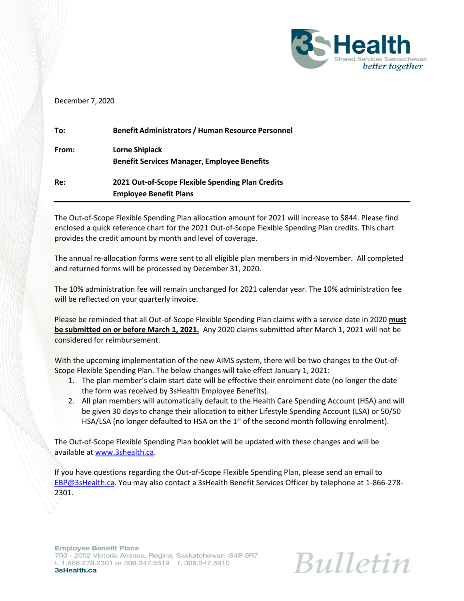

#### December 7, 2020

| To:   | <b>Benefit Administrators / Human Resource Personnel</b> |
|-------|----------------------------------------------------------|
| From: | Lorne Shiplack                                           |
|       | <b>Benefit Services Manager, Employee Benefits</b>       |
| Re:   | 2021 Out-of-Scope Flexible Spending Plan Credits         |
|       | <b>Employee Benefit Plans</b>                            |

The Out-of-Scope Flexible Spending Plan allocation amount for 2021 will increase to \$844. Please find enclosed a quick reference chart for the 2021 Out-of-Scope Flexible Spending Plan credits. This chart provides the credit amount by month and level of coverage.

The annual re-allocation forms were sent to all eligible plan members in mid-November. All completed and returned forms will be processed by December 31, 2020.

The 10% administration fee will remain unchanged for 2021 calendar year. The 10% administration fee will be reflected on your quarterly invoice.

Please be reminded that all Out-of-Scope Flexible Spending Plan claims with a service date in 2020 **must be submitted on or before March 1, 2021.** Any 2020 claims submitted after March 1, 2021 will not be considered for reimbursement.

With the upcoming implementation of the new AIMS system, there will be two changes to the Out-of-Scope Flexible Spending Plan. The below changes will take effect January 1, 2021:

- 1. The plan member's claim start date will be effective their enrolment date (no longer the date the form was received by 3sHealth Employee Benefits).
- 2. All plan members will automatically default to the Health Care Spending Account (HSA) and will be given 30 days to change their allocation to either Lifestyle Spending Account (LSA) or 50/50 HSA/LSA (no longer defaulted to HSA on the  $1<sup>st</sup>$  of the second month following enrolment).

The Out-of-Scope Flexible Spending Plan booklet will be updated with these changes and will be available a[t www.3shealth.ca.](http://www.3shealth.ca/)

If you have questions regarding the Out-of-Scope Flexible Spending Plan, please send an email to [EBP@3sHealth.ca.](mailto:EBP@3sHealth.ca) You may also contact a 3sHealth Benefit Services Officer by telephone at 1-866-278- 2301.

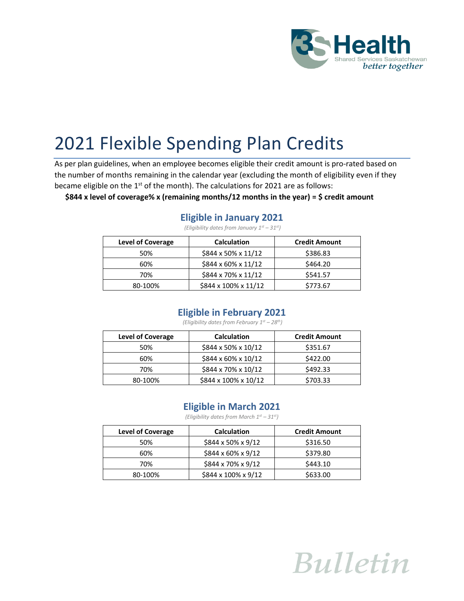

# 2021 Flexible Spending Plan Credits

As per plan guidelines, when an employee becomes eligible their credit amount is pro-rated based on the number of months remaining in the calendar year (excluding the month of eligibility even if they became eligible on the  $1<sup>st</sup>$  of the month). The calculations for 2021 are as follows:

**\$844 x level of coverage% x (remaining months/12 months in the year) = \$ credit amount**

#### **Eligible in January 2021**

| <b>Level of Coverage</b> | <b>Calculation</b>              | <b>Credit Amount</b> |
|--------------------------|---------------------------------|----------------------|
| 50%                      | $$844 \times 50\% \times 11/12$ | \$386.83             |
| 60%                      | \$844 x 60% x 11/12             | \$464.20             |
| 70%                      | \$844 x 70% x 11/12             | \$541.57             |
| 80-100%                  | \$844 x 100% x 11/12            | \$773.67             |

*(Eligibility dates from January 1st – 31st)*

#### **Eligible in February 2021**

*(Eligibility dates from February 1st – 28 th)*

| <b>Level of Coverage</b> | <b>Calculation</b>              | <b>Credit Amount</b> |
|--------------------------|---------------------------------|----------------------|
| 50%                      | \$844 x 50% x 10/12             | \$351.67             |
| 60%                      | $$844 \times 60\% \times 10/12$ | \$422.00             |
| 70%                      | \$844 x 70% x 10/12             | \$492.33             |
| 80-100%                  | \$844 x 100% x 10/12            | \$703.33             |

### **Eligible in March 2021**

*(Eligibility dates from March 1st – 31st)*

| <b>Level of Coverage</b> | <b>Calculation</b>             | <b>Credit Amount</b> |
|--------------------------|--------------------------------|----------------------|
| 50%                      | $$844 \times 50\% \times 9/12$ | \$316.50             |
| 60%                      | $$844 \times 60\% \times 9/12$ | \$379.80             |
| 70%                      | \$844 x 70% x 9/12             | \$443.10             |
| 80-100%                  | \$844 x 100% x 9/12            | \$633.00             |

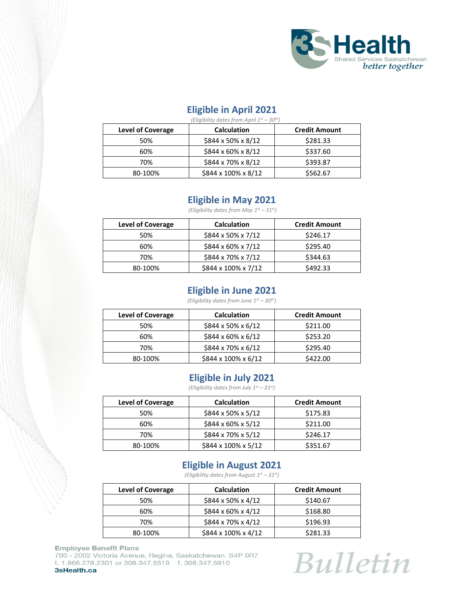

# **Eligible in April 2021**

| (Eligibility dates from April $1^{st}$ – 30 <sup>th</sup> ) |                                |                      |  |
|-------------------------------------------------------------|--------------------------------|----------------------|--|
| <b>Level of Coverage</b>                                    | <b>Calculation</b>             | <b>Credit Amount</b> |  |
| 50%                                                         | $$844 \times 50\% \times 8/12$ | \$281.33             |  |
| 60%                                                         | $$844 \times 60\% \times 8/12$ | \$337.60             |  |
| 70%                                                         | \$844 x 70% x 8/12             | \$393.87             |  |
| 80-100%                                                     | \$844 x 100% x 8/12            | \$562.67             |  |

#### **Eligible in May 2021**

*(Eligibility dates from May 1st – 31st)*

| <b>Level of Coverage</b> | <b>Calculation</b>             | <b>Credit Amount</b> |
|--------------------------|--------------------------------|----------------------|
| 50%                      | $$844 \times 50\% \times 7/12$ | \$246.17             |
| 60%                      | $$844 \times 60\% \times 7/12$ | \$295.40             |
| 70%                      | \$844 x 70% x 7/12             | \$344.63             |
| 80-100%                  | \$844 x 100% x 7/12            | \$492.33             |

# **Eligible in June 2021**

*(Eligibility dates from June 1st – 30th)*

| <b>Level of Coverage</b> | <b>Calculation</b>              | <b>Credit Amount</b> |
|--------------------------|---------------------------------|----------------------|
| 50%                      | $$844 \times 50\% \times 6/12$  | \$211.00             |
| 60%                      | $$844 \times 60\% \times 6/12$  | \$253.20             |
| 70%                      | $$844 \times 70\% \times 6/12$  | \$295.40             |
| 80-100%                  | $$844 \times 100\% \times 6/12$ | \$422.00             |

### **Eligible in July 2021**

*(Eligibility dates from July 1st – 31st)*

| <b>Level of Coverage</b> | <b>Calculation</b>             | <b>Credit Amount</b> |
|--------------------------|--------------------------------|----------------------|
| 50%                      | $$844 \times 50\% \times 5/12$ | \$175.83             |
| 60%                      | $$844 \times 60\% \times 5/12$ | \$211.00             |
| 70%                      | \$844 x 70% x 5/12             | \$246.17             |
| 80-100%                  | \$844 x 100% x 5/12            | \$351.67             |

# **Eligible in August 2021**

*(Eligibility dates from August 1st – 31st)*

| <b>Level of Coverage</b> | <b>Calculation</b>              | <b>Credit Amount</b> |
|--------------------------|---------------------------------|----------------------|
| 50%                      | $$844 \times 50\% \times 4/12$  | \$140.67             |
| 60%                      | $$844 \times 60\% \times 4/12$  | \$168.80             |
| 70%                      | \$844 x 70% x 4/12              | \$196.93             |
| 80-100%                  | $$844 \times 100\% \times 4/12$ | \$281.33             |